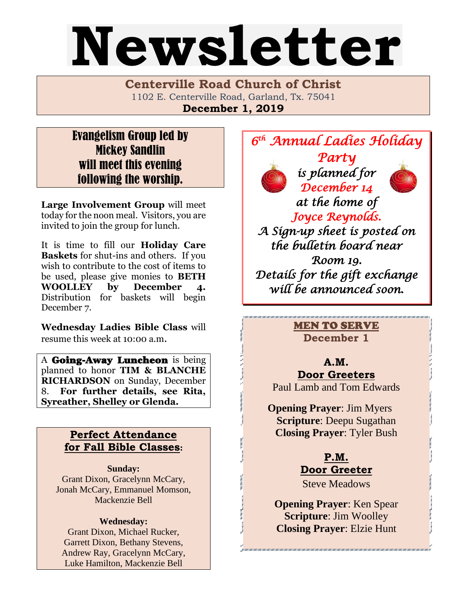# Newsletter

**Centerville Road Church of Christ**  1102 E. Centerville Road, Garland, Tx. 75041 **December 1, 2019**

## Evangelism Group led by Mickey Sandlin will meet this evening following the worship.

**Large Involvement Group** will meet today for the noon meal. Visitors, you are invited to join the group for lunch.

It is time to fill our **Holiday Care Baskets** for shut-ins and others. If you wish to contribute to the cost of items to be used, please give monies to **BETH**  WOOLLEY by December Distribution for baskets will begin December 7.

**Wednesday Ladies Bible Class** will resume this week at 10:00 a.m.

A **Going-Away Luncheon** is being planned to honor **TIM & BLANCHE RICHARDSON** on Sunday, December 8. **For further details, see Rita, Syreather, Shelley or Glenda.** 

## **Perfect Attendance for Fall Bible Classes:**

**Sunday:** Grant Dixon, Gracelynn McCary, Jonah McCary, Emmanuel Momson, Mackenzie Bell

#### **Wednesday:**

Grant Dixon, Michael Rucker, Garrett Dixon, Bethany Stevens, Andrew Ray, Gracelynn McCary, Luke Hamilton, Mackenzie Bell



*Room 19. Details for the gift exchange will be announced soon.* 

> MEN TO SERVE **December 1**

#### **A.M. Door Greeters** Paul Lamb and Tom Edwards

**Opening Prayer**: Jim Myers **Scripture**: Deepu Sugathan **Closing Prayer**: Tyler Bush

> **P.M. Door Greeter**

Steve Meadows

**Opening Prayer**: Ken Spear **Scripture**: Jim Woolley **Closing Prayer**: Elzie Hunt